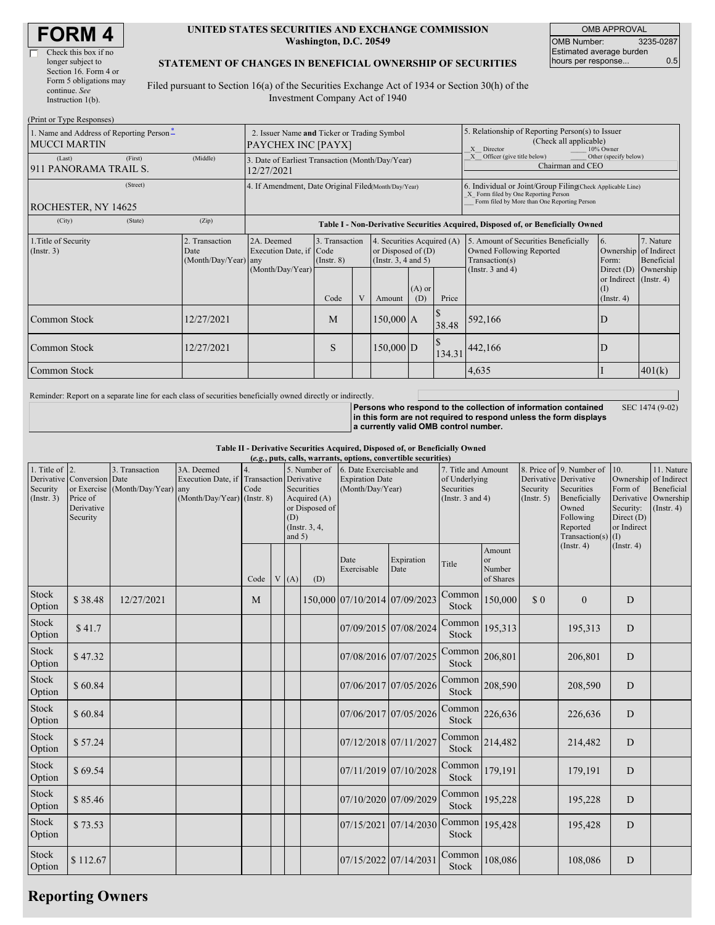| <b>FORM4</b> |  |
|--------------|--|
|--------------|--|

| Check this box if no   |
|------------------------|
| longer subject to      |
| Section 16. Form 4 or  |
| Form 5 obligations may |
| continue. See          |
| Instruction $l(b)$ .   |

#### **UNITED STATES SECURITIES AND EXCHANGE COMMISSION Washington, D.C. 20549**

OMB APPROVAL OMB Number: 3235-0287 Estimated average burden hours per response... 0.5

#### **STATEMENT OF CHANGES IN BENEFICIAL OWNERSHIP OF SECURITIES**

Filed pursuant to Section 16(a) of the Securities Exchange Act of 1934 or Section 30(h) of the Investment Company Act of 1940

| (Print or Type Responses)                                       |                                                                   |                                                      |                                                                |                                           |   |                                                                                      |                                                                                                       |                                                                                                                                                   |                                                                                                             |                                                                         |                                                                      |  |
|-----------------------------------------------------------------|-------------------------------------------------------------------|------------------------------------------------------|----------------------------------------------------------------|-------------------------------------------|---|--------------------------------------------------------------------------------------|-------------------------------------------------------------------------------------------------------|---------------------------------------------------------------------------------------------------------------------------------------------------|-------------------------------------------------------------------------------------------------------------|-------------------------------------------------------------------------|----------------------------------------------------------------------|--|
| 1. Name and Address of Reporting Person-<br><b>MUCCI MARTIN</b> | 2. Issuer Name and Ticker or Trading Symbol<br>PAYCHEX INC [PAYX] |                                                      |                                                                |                                           |   |                                                                                      | 5. Relationship of Reporting Person(s) to Issuer<br>(Check all applicable)<br>10% Owner<br>X Director |                                                                                                                                                   |                                                                                                             |                                                                         |                                                                      |  |
| (Last)<br>911 PANORAMA TRAIL S.                                 | (First)                                                           | (Middle)                                             | 3. Date of Earliest Transaction (Month/Day/Year)<br>12/27/2021 |                                           |   |                                                                                      |                                                                                                       |                                                                                                                                                   | Officer (give title below)<br>Other (specify below)<br>X<br>Chairman and CEO                                |                                                                         |                                                                      |  |
| ROCHESTER, NY 14625                                             |                                                                   | 4. If Amendment, Date Original Filed(Month/Day/Year) |                                                                |                                           |   |                                                                                      |                                                                                                       | 6. Individual or Joint/Group FilingCheck Applicable Line)<br>X Form filed by One Reporting Person<br>Form filed by More than One Reporting Person |                                                                                                             |                                                                         |                                                                      |  |
| (City)                                                          | (State)                                                           | (Zip)                                                |                                                                |                                           |   |                                                                                      |                                                                                                       |                                                                                                                                                   | Table I - Non-Derivative Securities Acquired, Disposed of, or Beneficially Owned                            |                                                                         |                                                                      |  |
| 2. Transaction<br>1. Title of Security<br>(Insert. 3)<br>Date   |                                                                   | (Month/Day/Year) any                                 | 2A. Deemed<br>Execution Date, if Code<br>(Month/Day/Year)      | 3. Transaction<br>$($ Instr. $8)$<br>Code | V | 4. Securities Acquired (A)<br>or Disposed of $(D)$<br>(Insert. 3, 4 and 5)<br>Amount | $(A)$ or<br>(D)                                                                                       | Price                                                                                                                                             | 5. Amount of Securities Beneficially<br>Owned Following Reported<br>Transaction(s)<br>(Instr. $3$ and $4$ ) | 6.<br>Form:<br>Direct (D)<br>or Indirect (Instr. 4)<br>$($ Instr. 4 $)$ | 7. Nature<br>Ownership of Indirect<br><b>Beneficial</b><br>Ownership |  |
| Common Stock                                                    |                                                                   | 12/27/2021                                           |                                                                | M                                         |   | $150,000$ A                                                                          |                                                                                                       | 38.48                                                                                                                                             | 592,166                                                                                                     | D                                                                       |                                                                      |  |
| Common Stock<br>12/27/2021                                      |                                                                   |                                                      |                                                                | S                                         |   | $150,000$ D                                                                          |                                                                                                       | 134.31                                                                                                                                            | 442,166                                                                                                     | D                                                                       |                                                                      |  |
| Common Stock                                                    |                                                                   |                                                      |                                                                |                                           |   |                                                                                      | 4,635                                                                                                 |                                                                                                                                                   | 401(k)                                                                                                      |                                                                         |                                                                      |  |

Reminder: Report on a separate line for each class of securities beneficially owned directly or indirectly.

**Persons who respond to the collection of information contained in this form are not required to respond unless the form displays**

SEC 1474 (9-02)

**a currently valid OMB control number.**

**Table II - Derivative Securities Acquired, Disposed of, or Beneficially Owned**

| (e.g., puts, calls, warrants, options, convertible securities) |                                                                                 |                                        |                                                                 |                           |  |                 |                                                                                             |                                                                       |                       |                                                                             |                                              |                         |                                                                                                                                     |                                                                                              |                                                                          |
|----------------------------------------------------------------|---------------------------------------------------------------------------------|----------------------------------------|-----------------------------------------------------------------|---------------------------|--|-----------------|---------------------------------------------------------------------------------------------|-----------------------------------------------------------------------|-----------------------|-----------------------------------------------------------------------------|----------------------------------------------|-------------------------|-------------------------------------------------------------------------------------------------------------------------------------|----------------------------------------------------------------------------------------------|--------------------------------------------------------------------------|
| 1. Title of $\vert$ 2.<br>Security<br>(Insert. 3)              | Derivative Conversion Date<br>or Exercise<br>Price of<br>Derivative<br>Security | 3. Transaction<br>(Month/Day/Year) any | 3A. Deemed<br>Execution Date, if<br>(Month/Day/Year) (Instr. 8) | 4.<br>Transaction<br>Code |  | (D)<br>and $5)$ | 5. Number of<br>Derivative<br>Securities<br>Acquired (A)<br>or Disposed of<br>(Instr. 3, 4, | 6. Date Exercisable and<br><b>Expiration Date</b><br>(Month/Day/Year) |                       | 7. Title and Amount<br>of Underlying<br>Securities<br>(Instr. $3$ and $4$ ) |                                              | Security<br>(Insert. 5) | 8. Price of 9. Number of<br>Derivative Derivative<br>Securities<br>Beneficially<br>Owned<br>Following<br>Reported<br>Transaction(s) | 10.<br>Ownership<br>Form of<br>Derivative<br>Security:<br>Direct $(D)$<br>or Indirect<br>(1) | 11. Nature<br>of Indirect<br>Beneficial<br>Ownership<br>$($ Instr. 4 $)$ |
|                                                                |                                                                                 |                                        |                                                                 | Code                      |  | V(A)            | (D)                                                                                         | Date<br>Exercisable                                                   | Expiration<br>Date    | Title                                                                       | Amount<br>$_{\rm or}$<br>Number<br>of Shares |                         | (Insert. 4)                                                                                                                         | (Insert. 4)                                                                                  |                                                                          |
| Stock<br>Option                                                | \$38.48                                                                         | 12/27/2021                             |                                                                 | M                         |  |                 |                                                                                             | 150,000 07/10/2014 07/09/2023                                         |                       | Common<br>Stock                                                             | 150,000                                      | \$0                     | $\Omega$                                                                                                                            | D                                                                                            |                                                                          |
| Stock<br>Option                                                | \$41.7                                                                          |                                        |                                                                 |                           |  |                 |                                                                                             |                                                                       | 07/09/2015 07/08/2024 | Common<br>Stock                                                             | 195,313                                      |                         | 195,313                                                                                                                             | D                                                                                            |                                                                          |
| Stock<br>Option                                                | \$47.32                                                                         |                                        |                                                                 |                           |  |                 |                                                                                             | 07/08/2016 07/07/2025                                                 |                       | Common<br>Stock                                                             | 206,801                                      |                         | 206,801                                                                                                                             | D                                                                                            |                                                                          |
| Stock<br>Option                                                | \$60.84                                                                         |                                        |                                                                 |                           |  |                 |                                                                                             |                                                                       | 07/06/2017 07/05/2026 | Common<br>Stock                                                             | 208,590                                      |                         | 208,590                                                                                                                             | D                                                                                            |                                                                          |
| Stock<br>Option                                                | \$60.84                                                                         |                                        |                                                                 |                           |  |                 |                                                                                             |                                                                       | 07/06/2017 07/05/2026 | Common<br>Stock                                                             | 226,636                                      |                         | 226,636                                                                                                                             | D                                                                                            |                                                                          |
| Stock<br>Option                                                | \$57.24                                                                         |                                        |                                                                 |                           |  |                 |                                                                                             | 07/12/2018 07/11/2027                                                 |                       | Common<br>Stock                                                             | 214,482                                      |                         | 214,482                                                                                                                             | D                                                                                            |                                                                          |
| Stock<br>Option                                                | \$69.54                                                                         |                                        |                                                                 |                           |  |                 |                                                                                             |                                                                       | 07/11/2019 07/10/2028 | Common<br>Stock                                                             | 179,191                                      |                         | 179,191                                                                                                                             | D                                                                                            |                                                                          |
| Stock<br>Option                                                | \$85.46                                                                         |                                        |                                                                 |                           |  |                 |                                                                                             |                                                                       | 07/10/2020 07/09/2029 | Common<br>Stock                                                             | 195,228                                      |                         | 195,228                                                                                                                             | D                                                                                            |                                                                          |
| Stock<br>Option                                                | \$73.53                                                                         |                                        |                                                                 |                           |  |                 |                                                                                             |                                                                       | 07/15/2021 07/14/2030 | Common 195,428<br>Stock                                                     |                                              |                         | 195,428                                                                                                                             | D                                                                                            |                                                                          |
| Stock<br>Option                                                | \$112.67                                                                        |                                        |                                                                 |                           |  |                 |                                                                                             | 07/15/2022 07/14/2031                                                 |                       | Common<br>Stock                                                             | 108,086                                      |                         | 108,086                                                                                                                             | $\mathbf D$                                                                                  |                                                                          |

## **Reporting Owners**